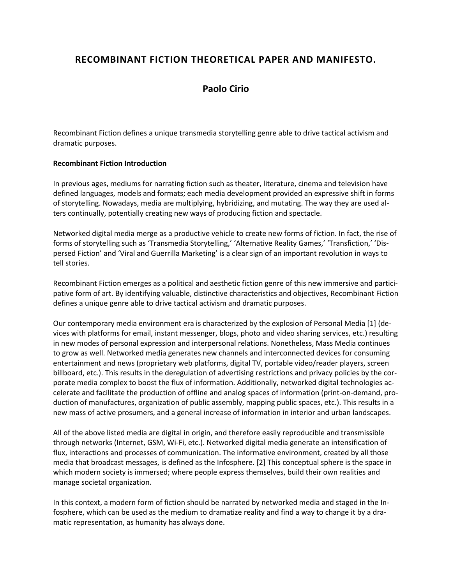# **RECOMBINANT FICTION THEORETICAL PAPER AND MANIFESTO.**

## **[Paolo Cirio](http://isea2011.sabanciuniv.edu/-640.html)**

Recombinant Fiction defines a unique transmedia storytelling genre able to drive tactical activism and dramatic purposes.

#### **Recombinant Fiction Introduction**

In previous ages, mediums for narrating fiction such as theater, literature, cinema and television have defined languages, models and formats; each media development provided an expressive shift in forms of storytelling. Nowadays, media are multiplying, hybridizing, and mutating. The way they are used alters continually, potentially creating new ways of producing fiction and spectacle.

Networked digital media merge as a productive vehicle to create new forms of fiction. In fact, the rise of forms of storytelling such as 'Transmedia Storytelling,' 'Alternative Reality Games,' 'Transfiction,' 'Dispersed Fiction' and 'Viral and Guerrilla Marketing' is a clear sign of an important revolution in ways to tell stories.

Recombinant Fiction emerges as a political and aesthetic fiction genre of this new immersive and participative form of art. By identifying valuable, distinctive characteristics and objectives, Recombinant Fiction defines a unique genre able to drive tactical activism and dramatic purposes.

Our contemporary media environment era is characterized by the explosion of Personal Media [1] (devices with platforms for email, instant messenger, blogs, photo and video sharing services, etc.) resulting in new modes of personal expression and interpersonal relations. Nonetheless, Mass Media continues to grow as well. Networked media generates new channels and interconnected devices for consuming entertainment and news (proprietary web platforms, digital TV, portable video/reader players, screen billboard, etc.). This results in the deregulation of advertising restrictions and privacy policies by the corporate media complex to boost the flux of information. Additionally, networked digital technologies accelerate and facilitate the production of offline and analog spaces of information (print-on-demand, production of manufactures, organization of public assembly, mapping public spaces, etc.). This results in a new mass of active prosumers, and a general increase of information in interior and urban landscapes.

All of the above listed media are digital in origin, and therefore easily reproducible and transmissible through networks (Internet, GSM, Wi-Fi, etc.). Networked digital media generate an intensification of flux, interactions and processes of communication. The informative environment, created by all those media that broadcast messages, is defined as the Infosphere. [2] This conceptual sphere is the space in which modern society is immersed; where people express themselves, build their own realities and manage societal organization.

In this context, a modern form of fiction should be narrated by networked media and staged in the Infosphere, which can be used as the medium to dramatize reality and find a way to change it by a dramatic representation, as humanity has always done.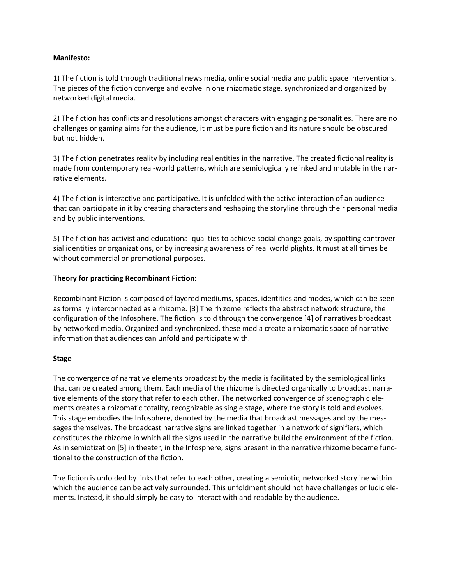#### **Manifesto:**

1) The fiction is told through traditional news media, online social media and public space interventions. The pieces of the fiction converge and evolve in one rhizomatic stage, synchronized and organized by networked digital media.

2) The fiction has conflicts and resolutions amongst characters with engaging personalities. There are no challenges or gaming aims for the audience, it must be pure fiction and its nature should be obscured but not hidden.

3) The fiction penetrates reality by including real entities in the narrative. The created fictional reality is made from contemporary real-world patterns, which are semiologically relinked and mutable in the narrative elements.

4) The fiction is interactive and participative. It is unfolded with the active interaction of an audience that can participate in it by creating characters and reshaping the storyline through their personal media and by public interventions.

5) The fiction has activist and educational qualities to achieve social change goals, by spotting controversial identities or organizations, or by increasing awareness of real world plights. It must at all times be without commercial or promotional purposes.

#### **Theory for practicing Recombinant Fiction:**

Recombinant Fiction is composed of layered mediums, spaces, identities and modes, which can be seen as formally interconnected as a rhizome. [3] The rhizome reflects the abstract network structure, the configuration of the Infosphere. The fiction is told through the convergence [4] of narratives broadcast by networked media. Organized and synchronized, these media create a rhizomatic space of narrative information that audiences can unfold and participate with.

#### **Stage**

The convergence of narrative elements broadcast by the media is facilitated by the semiological links that can be created among them. Each media of the rhizome is directed organically to broadcast narrative elements of the story that refer to each other. The networked convergence of scenographic elements creates a rhizomatic totality, recognizable as single stage, where the story is told and evolves. This stage embodies the Infosphere, denoted by the media that broadcast messages and by the messages themselves. The broadcast narrative signs are linked together in a network of signifiers, which constitutes the rhizome in which all the signs used in the narrative build the environment of the fiction. As in semiotization [5] in theater, in the Infosphere, signs present in the narrative rhizome became functional to the construction of the fiction.

The fiction is unfolded by links that refer to each other, creating a semiotic, networked storyline within which the audience can be actively surrounded. This unfoldment should not have challenges or ludic elements. Instead, it should simply be easy to interact with and readable by the audience.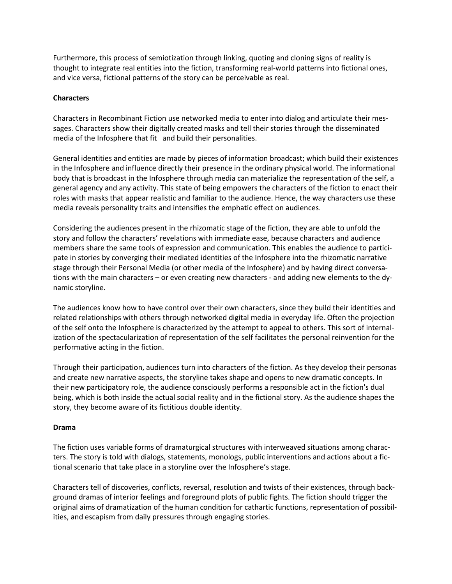Furthermore, this process of semiotization through linking, quoting and cloning signs of reality is thought to integrate real entities into the fiction, transforming real-world patterns into fictional ones, and vice versa, fictional patterns of the story can be perceivable as real.

#### **Characters**

Characters in Recombinant Fiction use networked media to enter into dialog and articulate their messages. Characters show their digitally created masks and tell their stories through the disseminated media of the Infosphere that fit and build their personalities.

General identities and entities are made by pieces of information broadcast; which build their existences in the Infosphere and influence directly their presence in the ordinary physical world. The informational body that is broadcast in the Infosphere through media can materialize the representation of the self, a general agency and any activity. This state of being empowers the characters of the fiction to enact their roles with masks that appear realistic and familiar to the audience. Hence, the way characters use these media reveals personality traits and intensifies the emphatic effect on audiences.

Considering the audiences present in the rhizomatic stage of the fiction, they are able to unfold the story and follow the characters' revelations with immediate ease, because characters and audience members share the same tools of expression and communication. This enables the audience to participate in stories by converging their mediated identities of the Infosphere into the rhizomatic narrative stage through their Personal Media (or other media of the Infosphere) and by having direct conversations with the main characters – or even creating new characters - and adding new elements to the dynamic storyline.

The audiences know how to have control over their own characters, since they build their identities and related relationships with others through networked digital media in everyday life. Often the projection of the self onto the Infosphere is characterized by the attempt to appeal to others. This sort of internalization of the spectacularization of representation of the self facilitates the personal reinvention for the performative acting in the fiction.

Through their participation, audiences turn into characters of the fiction. As they develop their personas and create new narrative aspects, the storyline takes shape and opens to new dramatic concepts. In their new participatory role, the audience consciously performs a responsible act in the fiction's dual being, which is both inside the actual social reality and in the fictional story. As the audience shapes the story, they become aware of its fictitious double identity.

#### **Drama**

The fiction uses variable forms of dramaturgical structures with interweaved situations among characters. The story is told with dialogs, statements, monologs, public interventions and actions about a fictional scenario that take place in a storyline over the Infosphere's stage.

Characters tell of discoveries, conflicts, reversal, resolution and twists of their existences, through background dramas of interior feelings and foreground plots of public fights. The fiction should trigger the original aims of dramatization of the human condition for cathartic functions, representation of possibilities, and escapism from daily pressures through engaging stories.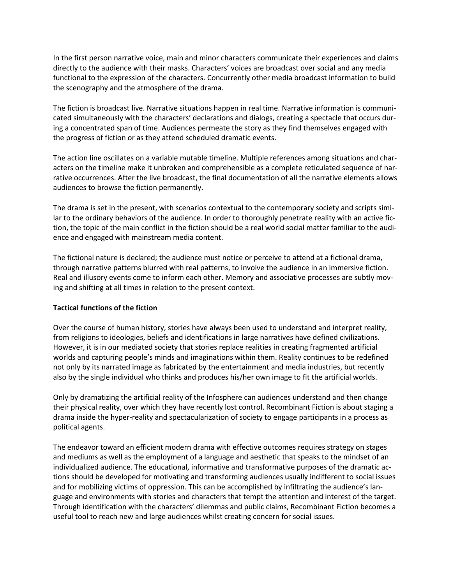In the first person narrative voice, main and minor characters communicate their experiences and claims directly to the audience with their masks. Characters' voices are broadcast over social and any media functional to the expression of the characters. Concurrently other media broadcast information to build the scenography and the atmosphere of the drama.

The fiction is broadcast live. Narrative situations happen in real time. Narrative information is communicated simultaneously with the characters' declarations and dialogs, creating a spectacle that occurs during a concentrated span of time. Audiences permeate the story as they find themselves engaged with the progress of fiction or as they attend scheduled dramatic events.

The action line oscillates on a variable mutable timeline. Multiple references among situations and characters on the timeline make it unbroken and comprehensible as a complete reticulated sequence of narrative occurrences. After the live broadcast, the final documentation of all the narrative elements allows audiences to browse the fiction permanently.

The drama is set in the present, with scenarios contextual to the contemporary society and scripts similar to the ordinary behaviors of the audience. In order to thoroughly penetrate reality with an active fiction, the topic of the main conflict in the fiction should be a real world social matter familiar to the audience and engaged with mainstream media content.

The fictional nature is declared; the audience must notice or perceive to attend at a fictional drama, through narrative patterns blurred with real patterns, to involve the audience in an immersive fiction. Real and illusory events come to inform each other. Memory and associative processes are subtly moving and shifting at all times in relation to the present context.

#### **Tactical functions of the fiction**

Over the course of human history, stories have always been used to understand and interpret reality, from religions to ideologies, beliefs and identifications in large narratives have defined civilizations. However, it is in our mediated society that stories replace realities in creating fragmented artificial worlds and capturing people's minds and imaginations within them. Reality continues to be redefined not only by its narrated image as fabricated by the entertainment and media industries, but recently also by the single individual who thinks and produces his/her own image to fit the artificial worlds.

Only by dramatizing the artificial reality of the Infosphere can audiences understand and then change their physical reality, over which they have recently lost control. Recombinant Fiction is about staging a drama inside the hyper-reality and spectacularization of society to engage participants in a process as political agents.

The endeavor toward an efficient modern drama with effective outcomes requires strategy on stages and mediums as well as the employment of a language and aesthetic that speaks to the mindset of an individualized audience. The educational, informative and transformative purposes of the dramatic actions should be developed for motivating and transforming audiences usually indifferent to social issues and for mobilizing victims of oppression. This can be accomplished by infiltrating the audience's language and environments with stories and characters that tempt the attention and interest of the target. Through identification with the characters' dilemmas and public claims, Recombinant Fiction becomes a useful tool to reach new and large audiences whilst creating concern for social issues.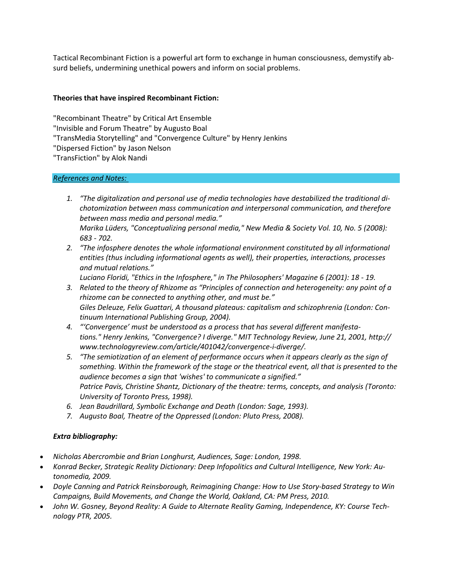Tactical Recombinant Fiction is a powerful art form to exchange in human consciousness, demystify absurd beliefs, undermining unethical powers and inform on social problems.

### **Theories that have inspired Recombinant Fiction:**

"Recombinant Theatre" by Critical Art Ensemble "Invisible and Forum Theatre" by Augusto Boal "TransMedia Storytelling" and "Convergence Culture" by Henry Jenkins "Dispersed Fiction" by Jason Nelson "TransFiction" by Alok Nandi

### *References and Notes:*

- *1. "The digitalization and personal use of media technologies have destabilized the traditional dichotomization between mass communication and interpersonal communication, and therefore between mass media and personal media." Marika Lüders, "Conceptualizing personal media," New Media & Society Vol. 10, No. 5 (2008): 683 - 702.*
- *2. "The infosphere denotes the whole informational environment constituted by all informational entities (thus including informational agents as well), their properties, interactions, processes and mutual relations."*

*Luciano Floridi, "Ethics in the Infosphere," in The Philosophers' Magazine 6 (2001): 18 - 19.*

- *3. Related to the theory of Rhizome as "Principles of connection and heterogeneity: any point of a rhizome can be connected to anything other, and must be." Giles Deleuze, Felix Guattari, A thousand plateaus: capitalism and schizophrenia (London: Continuum International Publishing Group, 2004).*
- *4. "'Convergence' must be understood as a process that has several different manifestations." Henry Jenkins, "Convergence? I diverge." MIT Technology Review, June 21, 2001, http:// www.technologyreview.com/article/401042/convergence-i-diverge/.*
- *5. "The semiotization of an element of performance occurs when it appears clearly as the sign of something. Within the framework of the stage or the theatrical event, all that is presented to the audience becomes a sign that 'wishes' to communicate a signified." Patrice Pavis, Christine Shantz, Dictionary of the theatre: terms, concepts, and analysis (Toronto: University of Toronto Press, 1998).*
- *6. Jean Baudrillard, Symbolic Exchange and Death (London: Sage, 1993).*
- *7. Augusto Boal, Theatre of the Oppressed (London: Pluto Press, 2008).*

### *Extra bibliography:*

- *Nicholas Abercrombie and Brian Longhurst, Audiences, Sage: London, 1998.*
- *Konrad Becker, Strategic Reality Dictionary: Deep Infopolitics and Cultural Intelligence, New York: Autonomedia, 2009.*
- *Doyle Canning and Patrick Reinsborough, Reimagining Change: How to Use Story-based Strategy to Win Campaigns, Build Movements, and Change the World, Oakland, CA: PM Press, 2010.*
- *John W. Gosney, Beyond Reality: A Guide to Alternate Reality Gaming, Independence, KY: Course Technology PTR, 2005.*